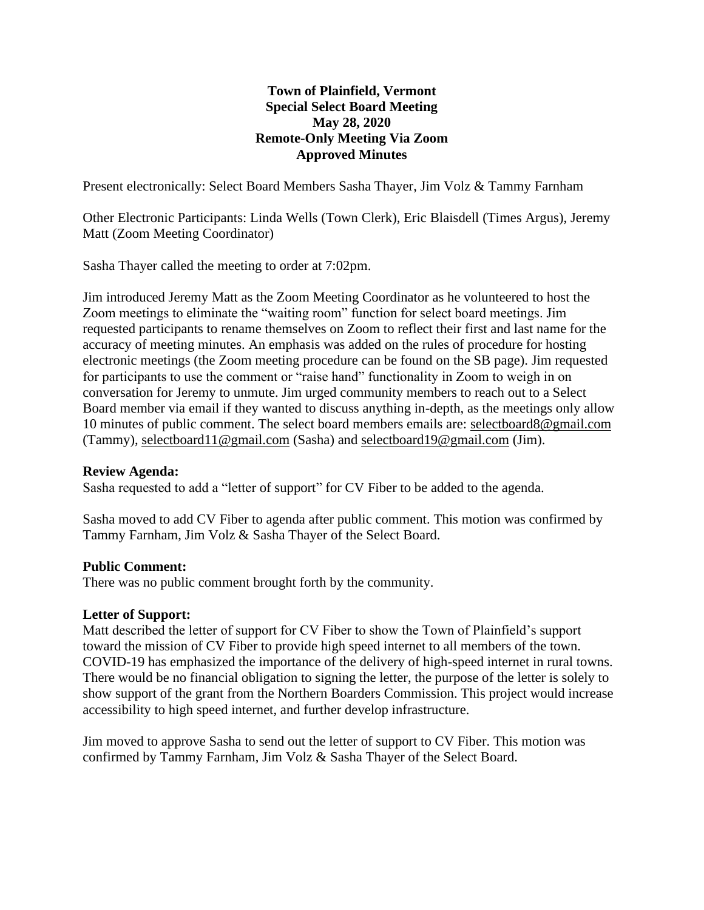# **Town of Plainfield, Vermont Special Select Board Meeting May 28, 2020 Remote-Only Meeting Via Zoom Approved Minutes**

Present electronically: Select Board Members Sasha Thayer, Jim Volz & Tammy Farnham

Other Electronic Participants: Linda Wells (Town Clerk), Eric Blaisdell (Times Argus), Jeremy Matt (Zoom Meeting Coordinator)

Sasha Thayer called the meeting to order at 7:02pm.

Jim introduced Jeremy Matt as the Zoom Meeting Coordinator as he volunteered to host the Zoom meetings to eliminate the "waiting room" function for select board meetings. Jim requested participants to rename themselves on Zoom to reflect their first and last name for the accuracy of meeting minutes. An emphasis was added on the rules of procedure for hosting electronic meetings (the Zoom meeting procedure can be found on the SB page). Jim requested for participants to use the comment or "raise hand" functionality in Zoom to weigh in on conversation for Jeremy to unmute. Jim urged community members to reach out to a Select Board member via email if they wanted to discuss anything in-depth, as the meetings only allow 10 minutes of public comment. The select board members emails are: selectboard8@gmail.com (Tammy), selectboard11@gmail.com (Sasha) and selectboard19@gmail.com (Jim).

## **Review Agenda:**

Sasha requested to add a "letter of support" for CV Fiber to be added to the agenda.

Sasha moved to add CV Fiber to agenda after public comment. This motion was confirmed by Tammy Farnham, Jim Volz & Sasha Thayer of the Select Board.

## **Public Comment:**

There was no public comment brought forth by the community.

#### **Letter of Support:**

Matt described the letter of support for CV Fiber to show the Town of Plainfield's support toward the mission of CV Fiber to provide high speed internet to all members of the town. COVID-19 has emphasized the importance of the delivery of high-speed internet in rural towns. There would be no financial obligation to signing the letter, the purpose of the letter is solely to show support of the grant from the Northern Boarders Commission. This project would increase accessibility to high speed internet, and further develop infrastructure.

Jim moved to approve Sasha to send out the letter of support to CV Fiber. This motion was confirmed by Tammy Farnham, Jim Volz & Sasha Thayer of the Select Board.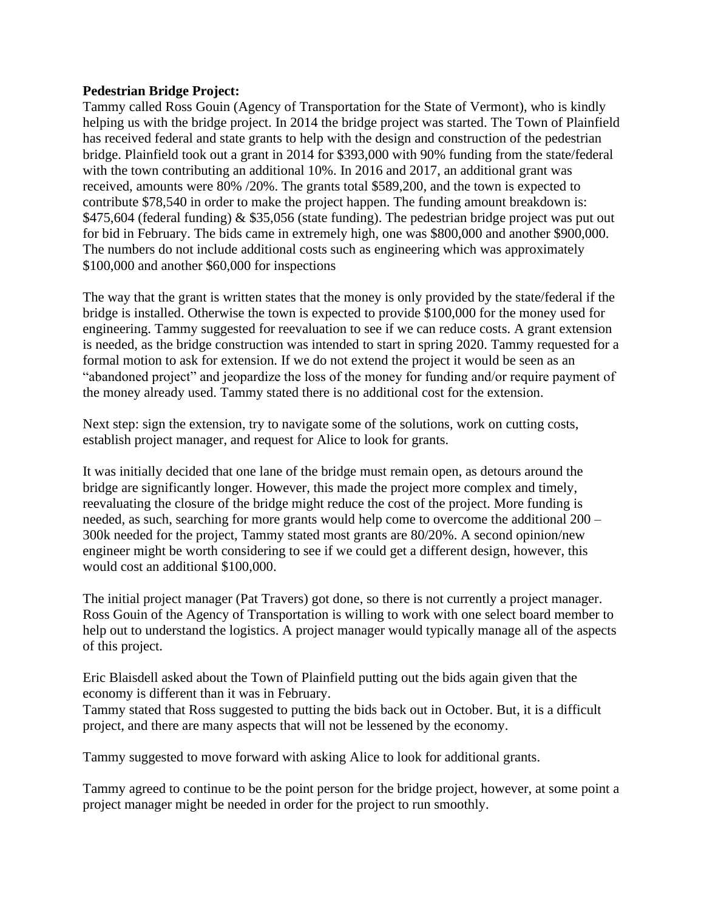## **Pedestrian Bridge Project:**

Tammy called Ross Gouin (Agency of Transportation for the State of Vermont), who is kindly helping us with the bridge project. In 2014 the bridge project was started. The Town of Plainfield has received federal and state grants to help with the design and construction of the pedestrian bridge. Plainfield took out a grant in 2014 for \$393,000 with 90% funding from the state/federal with the town contributing an additional 10%. In 2016 and 2017, an additional grant was received, amounts were 80% /20%. The grants total \$589,200, and the town is expected to contribute \$78,540 in order to make the project happen. The funding amount breakdown is: \$475,604 (federal funding) & \$35,056 (state funding). The pedestrian bridge project was put out for bid in February. The bids came in extremely high, one was \$800,000 and another \$900,000. The numbers do not include additional costs such as engineering which was approximately \$100,000 and another \$60,000 for inspections

The way that the grant is written states that the money is only provided by the state/federal if the bridge is installed. Otherwise the town is expected to provide \$100,000 for the money used for engineering. Tammy suggested for reevaluation to see if we can reduce costs. A grant extension is needed, as the bridge construction was intended to start in spring 2020. Tammy requested for a formal motion to ask for extension. If we do not extend the project it would be seen as an "abandoned project" and jeopardize the loss of the money for funding and/or require payment of the money already used. Tammy stated there is no additional cost for the extension.

Next step: sign the extension, try to navigate some of the solutions, work on cutting costs, establish project manager, and request for Alice to look for grants.

It was initially decided that one lane of the bridge must remain open, as detours around the bridge are significantly longer. However, this made the project more complex and timely, reevaluating the closure of the bridge might reduce the cost of the project. More funding is needed, as such, searching for more grants would help come to overcome the additional 200 – 300k needed for the project, Tammy stated most grants are 80/20%. A second opinion/new engineer might be worth considering to see if we could get a different design, however, this would cost an additional \$100,000.

The initial project manager (Pat Travers) got done, so there is not currently a project manager. Ross Gouin of the Agency of Transportation is willing to work with one select board member to help out to understand the logistics. A project manager would typically manage all of the aspects of this project.

Eric Blaisdell asked about the Town of Plainfield putting out the bids again given that the economy is different than it was in February.

Tammy stated that Ross suggested to putting the bids back out in October. But, it is a difficult project, and there are many aspects that will not be lessened by the economy.

Tammy suggested to move forward with asking Alice to look for additional grants.

Tammy agreed to continue to be the point person for the bridge project, however, at some point a project manager might be needed in order for the project to run smoothly.